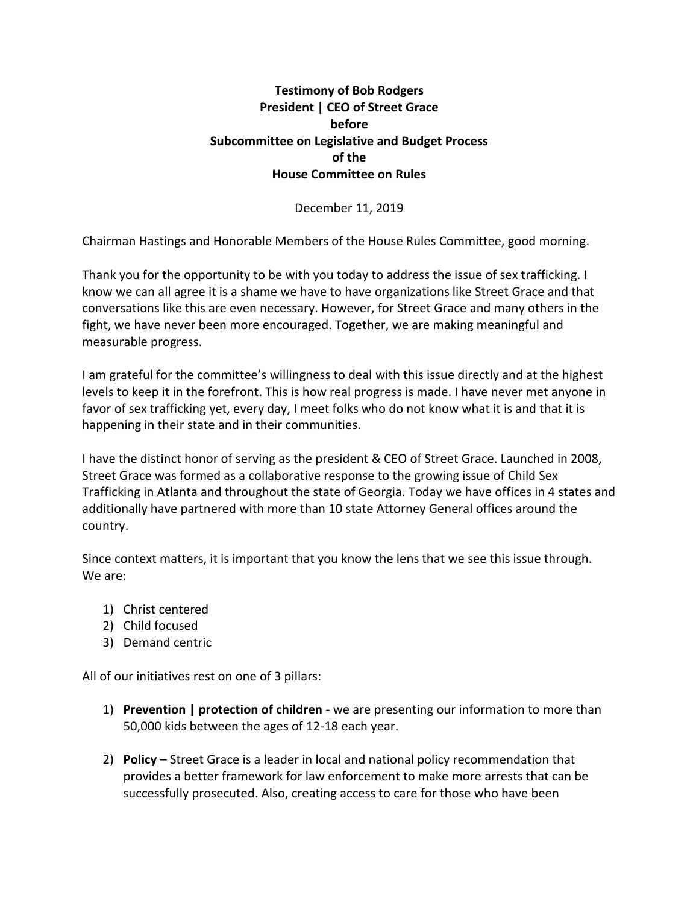## **Testimony of Bob Rodgers President | CEO of Street Grace before Subcommittee on Legislative and Budget Process of the House Committee on Rules**

December 11, 2019

Chairman Hastings and Honorable Members of the House Rules Committee, good morning.

Thank you for the opportunity to be with you today to address the issue of sex trafficking. I know we can all agree it is a shame we have to have organizations like Street Grace and that conversations like this are even necessary. However, for Street Grace and many others in the fight, we have never been more encouraged. Together, we are making meaningful and measurable progress.

I am grateful for the committee's willingness to deal with this issue directly and at the highest levels to keep it in the forefront. This is how real progress is made. I have never met anyone in favor of sex trafficking yet, every day, I meet folks who do not know what it is and that it is happening in their state and in their communities.

I have the distinct honor of serving as the president & CEO of Street Grace. Launched in 2008, Street Grace was formed as a collaborative response to the growing issue of Child Sex Trafficking in Atlanta and throughout the state of Georgia. Today we have offices in 4 states and additionally have partnered with more than 10 state Attorney General offices around the country.

Since context matters, it is important that you know the lens that we see this issue through. We are:

- 1) Christ centered
- 2) Child focused
- 3) Demand centric

All of our initiatives rest on one of 3 pillars:

- 1) **Prevention | protection of children** we are presenting our information to more than 50,000 kids between the ages of 12-18 each year.
- 2) **Policy**  Street Grace is a leader in local and national policy recommendation that provides a better framework for law enforcement to make more arrests that can be successfully prosecuted. Also, creating access to care for those who have been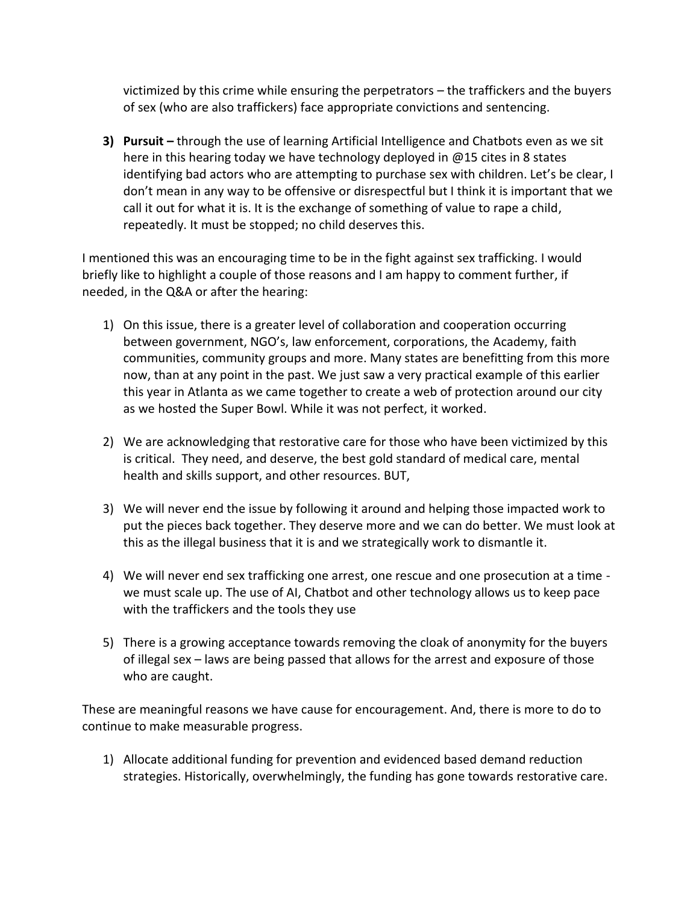victimized by this crime while ensuring the perpetrators – the traffickers and the buyers of sex (who are also traffickers) face appropriate convictions and sentencing.

**3) Pursuit –** through the use of learning Artificial Intelligence and Chatbots even as we sit here in this hearing today we have technology deployed in @15 cites in 8 states identifying bad actors who are attempting to purchase sex with children. Let's be clear, I don't mean in any way to be offensive or disrespectful but I think it is important that we call it out for what it is. It is the exchange of something of value to rape a child, repeatedly. It must be stopped; no child deserves this.

I mentioned this was an encouraging time to be in the fight against sex trafficking. I would briefly like to highlight a couple of those reasons and I am happy to comment further, if needed, in the Q&A or after the hearing:

- 1) On this issue, there is a greater level of collaboration and cooperation occurring between government, NGO's, law enforcement, corporations, the Academy, faith communities, community groups and more. Many states are benefitting from this more now, than at any point in the past. We just saw a very practical example of this earlier this year in Atlanta as we came together to create a web of protection around our city as we hosted the Super Bowl. While it was not perfect, it worked.
- 2) We are acknowledging that restorative care for those who have been victimized by this is critical. They need, and deserve, the best gold standard of medical care, mental health and skills support, and other resources. BUT,
- 3) We will never end the issue by following it around and helping those impacted work to put the pieces back together. They deserve more and we can do better. We must look at this as the illegal business that it is and we strategically work to dismantle it.
- 4) We will never end sex trafficking one arrest, one rescue and one prosecution at a time we must scale up. The use of AI, Chatbot and other technology allows us to keep pace with the traffickers and the tools they use
- 5) There is a growing acceptance towards removing the cloak of anonymity for the buyers of illegal sex – laws are being passed that allows for the arrest and exposure of those who are caught.

These are meaningful reasons we have cause for encouragement. And, there is more to do to continue to make measurable progress.

1) Allocate additional funding for prevention and evidenced based demand reduction strategies. Historically, overwhelmingly, the funding has gone towards restorative care.